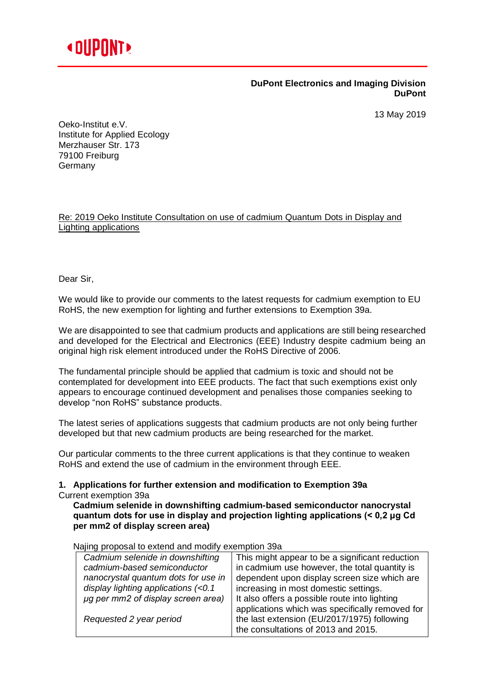

## **DuPont Electronics and Imaging Division DuPont**

13 May 2019

Oeko-Institut e.V. Institute for Applied Ecology Merzhauser Str. 173 79100 Freiburg **Germany** 

Re: 2019 Oeko Institute Consultation on use of cadmium Quantum Dots in Display and Lighting applications

Dear Sir,

We would like to provide our comments to the latest requests for cadmium exemption to EU RoHS, the new exemption for lighting and further extensions to Exemption 39a.

We are disappointed to see that cadmium products and applications are still being researched and developed for the Electrical and Electronics (EEE) Industry despite cadmium being an original high risk element introduced under the RoHS Directive of 2006.

The fundamental principle should be applied that cadmium is toxic and should not be contemplated for development into EEE products. The fact that such exemptions exist only appears to encourage continued development and penalises those companies seeking to develop "non RoHS" substance products.

The latest series of applications suggests that cadmium products are not only being further developed but that new cadmium products are being researched for the market.

Our particular comments to the three current applications is that they continue to weaken RoHS and extend the use of cadmium in the environment through EEE.

## **1. Applications for further extension and modification to Exemption 39a** Current exemption 39a

**Cadmium selenide in downshifting cadmium-based semiconductor nanocrystal quantum dots for use in display and projection lighting applications (< 0,2 μg Cd per mm2 of display screen area)**

Najing proposal to extend and modify exemption 39a

| Cadmium selenide in downshifting    | This might appear to be a significant reduction |
|-------------------------------------|-------------------------------------------------|
| cadmium-based semiconductor         | in cadmium use however, the total quantity is   |
| nanocrystal quantum dots for use in | dependent upon display screen size which are    |
| display lighting applications (<0.1 | increasing in most domestic settings.           |
| µg per mm2 of display screen area)  | It also offers a possible route into lighting   |
|                                     | applications which was specifically removed for |
| Requested 2 year period             | the last extension (EU/2017/1975) following     |
|                                     | the consultations of 2013 and 2015.             |
|                                     |                                                 |